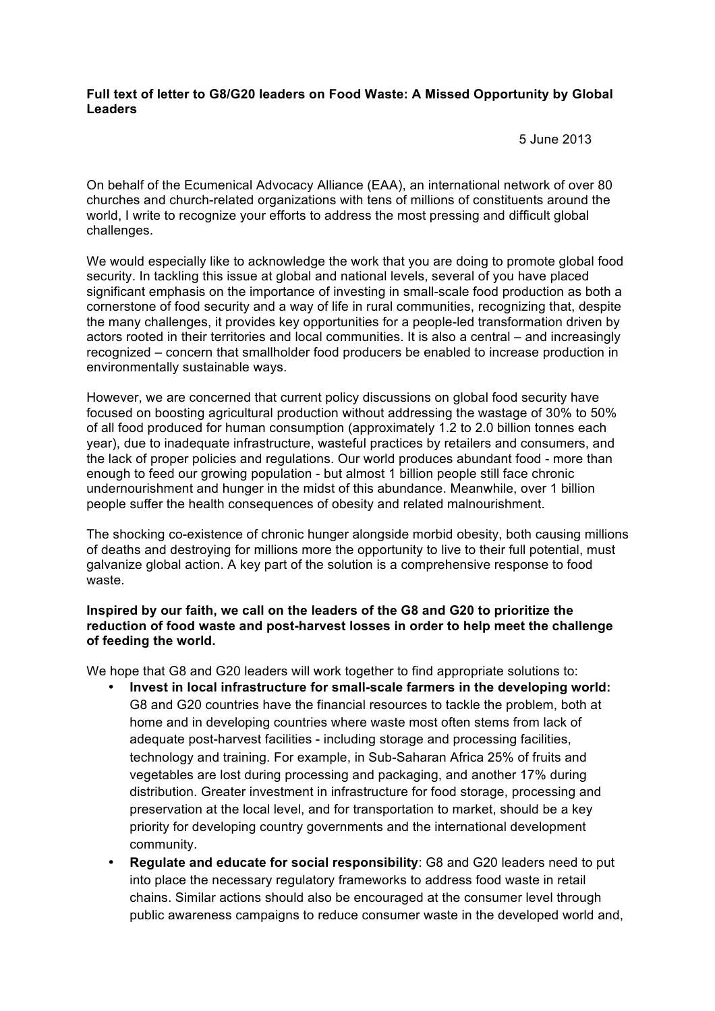## **Full text of letter to G8/G20 leaders on Food Waste: A Missed Opportunity by Global Leaders**

5 June 2013

On behalf of the Ecumenical Advocacy Alliance (EAA), an international network of over 80 churches and church-related organizations with tens of millions of constituents around the world, I write to recognize your efforts to address the most pressing and difficult global challenges.

We would especially like to acknowledge the work that you are doing to promote global food security. In tackling this issue at global and national levels, several of you have placed significant emphasis on the importance of investing in small-scale food production as both a cornerstone of food security and a way of life in rural communities, recognizing that, despite the many challenges, it provides key opportunities for a people-led transformation driven by actors rooted in their territories and local communities. It is also a central – and increasingly recognized – concern that smallholder food producers be enabled to increase production in environmentally sustainable ways.

However, we are concerned that current policy discussions on global food security have focused on boosting agricultural production without addressing the wastage of 30% to 50% of all food produced for human consumption (approximately 1.2 to 2.0 billion tonnes each year), due to inadequate infrastructure, wasteful practices by retailers and consumers, and the lack of proper policies and regulations. Our world produces abundant food - more than enough to feed our growing population - but almost 1 billion people still face chronic undernourishment and hunger in the midst of this abundance. Meanwhile, over 1 billion people suffer the health consequences of obesity and related malnourishment.

The shocking co-existence of chronic hunger alongside morbid obesity, both causing millions of deaths and destroying for millions more the opportunity to live to their full potential, must galvanize global action. A key part of the solution is a comprehensive response to food waste.

## **Inspired by our faith, we call on the leaders of the G8 and G20 to prioritize the reduction of food waste and post-harvest losses in order to help meet the challenge of feeding the world.**

We hope that G8 and G20 leaders will work together to find appropriate solutions to:

- **Invest in local infrastructure for small-scale farmers in the developing world:** G8 and G20 countries have the financial resources to tackle the problem, both at home and in developing countries where waste most often stems from lack of adequate post-harvest facilities - including storage and processing facilities, technology and training. For example, in Sub-Saharan Africa 25% of fruits and vegetables are lost during processing and packaging, and another 17% during distribution. Greater investment in infrastructure for food storage, processing and preservation at the local level, and for transportation to market, should be a key priority for developing country governments and the international development community.
- **Regulate and educate for social responsibility**: G8 and G20 leaders need to put into place the necessary regulatory frameworks to address food waste in retail chains. Similar actions should also be encouraged at the consumer level through public awareness campaigns to reduce consumer waste in the developed world and,